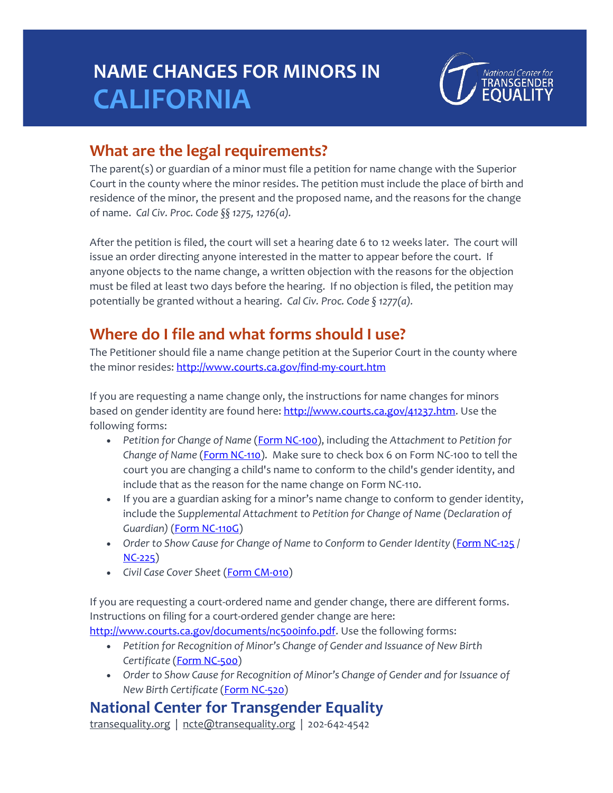# **NAME CHANGES FOR MINORS IN CALIFORNIA**



#### **What are the legal requirements?**

The parent(s) or guardian of a minor must file a petition for name change with the Superior Court in the county where the minor resides. The petition must include the place of birth and residence of the minor, the present and the proposed name, and the reasons for the change of name. *Cal Civ. Proc. Code §§ 1275, 1276(a).*

After the petition is filed, the court will set a hearing date 6 to 12 weeks later. The court will issue an order directing anyone interested in the matter to appear before the court. If anyone objects to the name change, a written objection with the reasons for the objection must be filed at least two days before the hearing. If no objection is filed, the petition may potentially be granted without a hearing. *Cal Civ. Proc. Code § 1277(a).*

### **Where do I file and what forms should I use?**

The Petitioner should file a name change petition at the Superior Court in the county where the minor resides: <http://www.courts.ca.gov/find-my-court.htm>

If you are requesting a name change only, the instructions for name changes for minors based on gender identity are found here[: http://www.courts.ca.gov/41237.htm.](http://www.courts.ca.gov/41237.htm) Use the following forms:

- *Petition for Change of Name* [\(Form NC-100\)](http://www.courts.ca.gov/documents/nc100.pdf), including the *Attachment to Petition for*  Change of Name [\(Form NC-110\)](http://www.courts.ca.gov/documents/nc110.pdf). Make sure to check box 6 on Form NC-100 to tell the court you are changing a child's name to conform to the child's gender identity, and include that as the reason for the name change on Form NC-110.
- If you are a guardian asking for a minor's name change to conform to gender identity, include the *Supplemental Attachment to Petition for Change of Name (Declaration of Guardian)* [\(Form NC-110G\)](http://www.courts.ca.gov/documents/nc110g.pdf)
- *Order to Show Cause for Change of Name to Conform to Gender Identity* (*Form NC-125* / [NC-225\)](http://www.courts.ca.gov/documents/nc225.pdf)
- *Civil Case Cover Sheet* [\(Form CM-010\)](http://www.courts.ca.gov/documents/cm010.pdf)

If you are requesting a court-ordered name and gender change, there are different forms. Instructions on filing for a court-ordered gender change are here: [http://www.courts.ca.gov/documents/nc500info.pdf.](http://www.courts.ca.gov/documents/nc500info.pdf) Use the following forms:

- *Petition for Recognition of Minor's Change of Gender and Issuance of New Birth Certificate* [\(Form NC-500\)](http://www.courts.ca.gov/documents/nc500.pdf)
- *Order to Show Cause for Recognition of Minor's Change of Gender and for Issuance of New Birth Certificate* [\(Form NC-520\)](http://www.courts.ca.gov/documents/nc520.pdf)

#### **National Center for Transgender Equality**

transequality.org | ncte@transequality.org | 202-642-4542